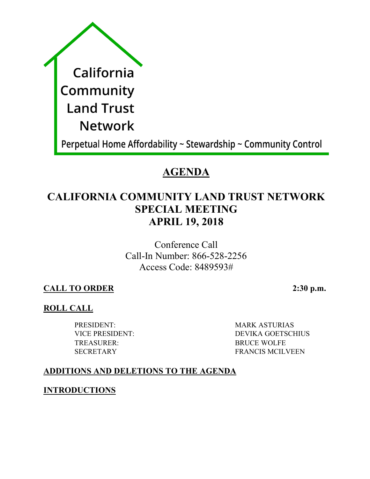| California                                                     |
|----------------------------------------------------------------|
| Community                                                      |
| <b>Land Trust</b>                                              |
| <b>Network</b>                                                 |
| Perpetual Home Affordability ~ Stewardship ~ Community Control |

# **AGENDA**

# **CALIFORNIA COMMUNITY LAND TRUST NETWORK SPECIAL MEETING APRIL 19, 2018**

Conference Call Call-In Number: 866-528-2256 Access Code: 8489593#

**CALL TO ORDER 2:30 p.m.**

# **ROLL CALL**

TREASURER: BRUCE WOLFE

PRESIDENT: MARK ASTURIAS VICE PRESIDENT: DEVIKA GOETSCHIUS SECRETARY FRANCIS MCILVEEN

# **ADDITIONS AND DELETIONS TO THE AGENDA**

**INTRODUCTIONS**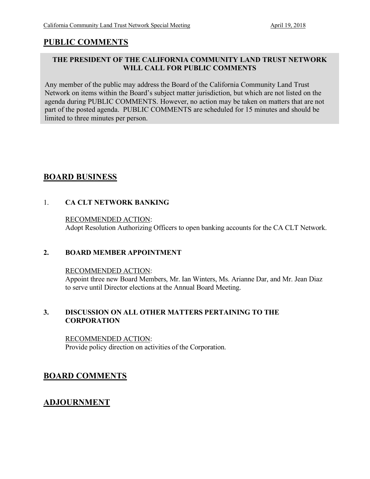## **PUBLIC COMMENTS**

### **THE PRESIDENT OF THE CALIFORNIA COMMUNITY LAND TRUST NETWORK WILL CALL FOR PUBLIC COMMENTS**

Any member of the public may address the Board of the California Community Land Trust Network on items within the Board's subject matter jurisdiction, but which are not listed on the agenda during PUBLIC COMMENTS. However, no action may be taken on matters that are not part of the posted agenda. PUBLIC COMMENTS are scheduled for 15 minutes and should be limited to three minutes per person.

## **BOARD BUSINESS**

### 1. **CA CLT NETWORK BANKING**

### RECOMMENDED ACTION: Adopt Resolution Authorizing Officers to open banking accounts for the CA CLT Network.

### **2. BOARD MEMBER APPOINTMENT**

RECOMMENDED ACTION: Appoint three new Board Members, Mr. Ian Winters, Ms. Arianne Dar, and Mr. Jean Diaz to serve until Director elections at the Annual Board Meeting.

### **3. DISCUSSION ON ALL OTHER MATTERS PERTAINING TO THE CORPORATION**

RECOMMENDED ACTION: Provide policy direction on activities of the Corporation.

## **BOARD COMMENTS**

## **ADJOURNMENT**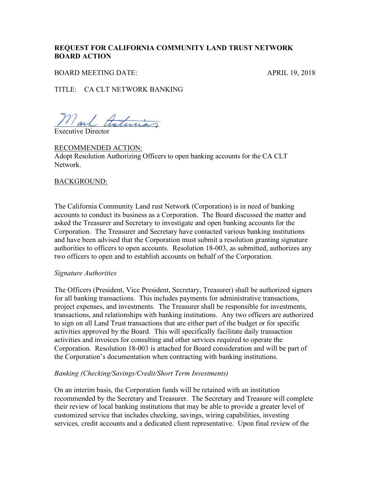### **REQUEST FOR CALIFORNIA COMMUNITY LAND TRUST NETWORK BOARD ACTION**

BOARD MEETING DATE: APRIL 19, 2018

TITLE: CA CLT NETWORK BANKING

Mark theturias

Executive Director

RECOMMENDED ACTION: Adopt Resolution Authorizing Officers to open banking accounts for the CA CLT Network.

#### BACKGROUND:

The California Community Land rust Network (Corporation) is in need of banking accounts to conduct its business as a Corporation. The Board discussed the matter and asked the Treasurer and Secretary to investigate and open banking accounts for the Corporation. The Treasurer and Secretary have contacted various banking institutions and have been advised that the Corporation must submit a resolution granting signature authorities to officers to open accounts. Resolution 18-003, as submitted, authorizes any two officers to open and to establish accounts on behalf of the Corporation.

#### *Signature Authorities*

The Officers (President, Vice President, Secretary, Treasurer) shall be authorized signers for all banking transactions. This includes payments for administrative transactions, project expenses, and investments. The Treasurer shall be responsible for investments, transactions, and relationships with banking institutions. Any two officers are authorized to sign on all Land Trust transactions that are either part of the budget or for specific activities approved by the Board. This will specifically facilitate daily transaction activities and invoices for consulting and other services required to operate the Corporation. Resolution 18-003 is attached for Board consideration and will be part of the Corporation's documentation when contracting with banking institutions.

#### *Banking (Checking/Savings/Credit/Short Term Investments)*

On an interim basis, the Corporation funds will be retained with an institution recommended by the Secretary and Treasurer. The Secretary and Treasure will complete their review of local banking institutions that may be able to provide a greater level of customized service that includes checking, savings, wiring capabilities, investing services, credit accounts and a dedicated client representative. Upon final review of the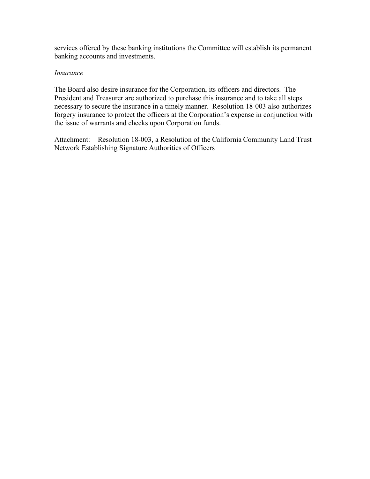services offered by these banking institutions the Committee will establish its permanent banking accounts and investments.

#### *Insurance*

The Board also desire insurance for the Corporation, its officers and directors. The President and Treasurer are authorized to purchase this insurance and to take all steps necessary to secure the insurance in a timely manner. Resolution 18-003 also authorizes forgery insurance to protect the officers at the Corporation's expense in conjunction with the issue of warrants and checks upon Corporation funds.

Attachment: Resolution 18-003, a Resolution of the California Community Land Trust Network Establishing Signature Authorities of Officers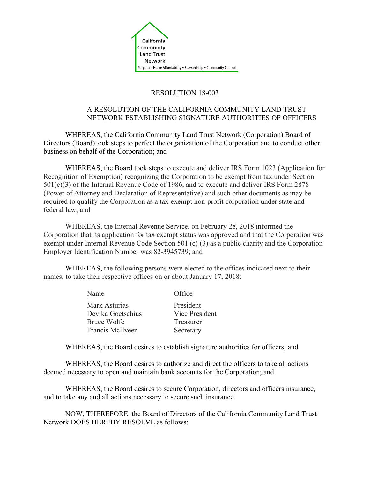

### RESOLUTION 18-003

### A RESOLUTION OF THE CALIFORNIA COMMUNITY LAND TRUST NETWORK ESTABLISHING SIGNATURE AUTHORITIES OF OFFICERS

WHEREAS, the California Community Land Trust Network (Corporation) Board of Directors (Board) took steps to perfect the organization of the Corporation and to conduct other business on behalf of the Corporation; and

WHEREAS, the Board took steps to execute and deliver IRS Form 1023 (Application for Recognition of Exemption) recognizing the Corporation to be exempt from tax under Section 501(c)(3) of the Internal Revenue Code of 1986, and to execute and deliver IRS Form 2878 (Power of Attorney and Declaration of Representative) and such other documents as may be required to qualify the Corporation as a tax-exempt non-profit corporation under state and federal law; and

WHEREAS, the Internal Revenue Service, on February 28, 2018 informed the Corporation that its application for tax exempt status was approved and that the Corporation was exempt under Internal Revenue Code Section 501 (c) (3) as a public charity and the Corporation Employer Identification Number was 82-3945739; and

WHEREAS, the following persons were elected to the offices indicated next to their names, to take their respective offices on or about January 17, 2018:

> Name Office Mark Asturias President Devika Goetschius Vice President Bruce Wolfe Treasurer Francis McIlveen Secretary

WHEREAS, the Board desires to establish signature authorities for officers; and

WHEREAS, the Board desires to authorize and direct the officers to take all actions deemed necessary to open and maintain bank accounts for the Corporation; and

WHEREAS, the Board desires to secure Corporation, directors and officers insurance, and to take any and all actions necessary to secure such insurance.

NOW, THEREFORE, the Board of Directors of the California Community Land Trust Network DOES HEREBY RESOLVE as follows: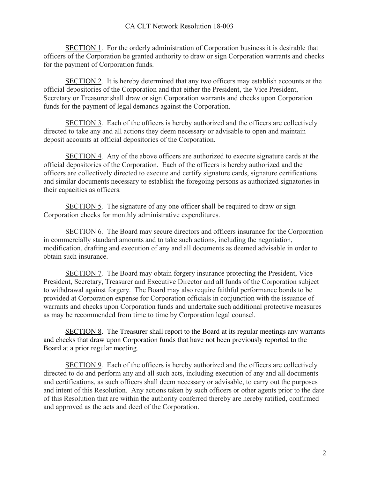SECTION 1. For the orderly administration of Corporation business it is desirable that officers of the Corporation be granted authority to draw or sign Corporation warrants and checks for the payment of Corporation funds.

SECTION 2. It is hereby determined that any two officers may establish accounts at the official depositories of the Corporation and that either the President, the Vice President, Secretary or Treasurer shall draw or sign Corporation warrants and checks upon Corporation funds for the payment of legal demands against the Corporation.

SECTION 3. Each of the officers is hereby authorized and the officers are collectively directed to take any and all actions they deem necessary or advisable to open and maintain deposit accounts at official depositories of the Corporation.

SECTION 4. Any of the above officers are authorized to execute signature cards at the official depositories of the Corporation. Each of the officers is hereby authorized and the officers are collectively directed to execute and certify signature cards, signature certifications and similar documents necessary to establish the foregoing persons as authorized signatories in their capacities as officers.

SECTION 5. The signature of any one officer shall be required to draw or sign Corporation checks for monthly administrative expenditures.

SECTION 6. The Board may secure directors and officers insurance for the Corporation in commercially standard amounts and to take such actions, including the negotiation, modification, drafting and execution of any and all documents as deemed advisable in order to obtain such insurance.

SECTION 7. The Board may obtain forgery insurance protecting the President, Vice President, Secretary, Treasurer and Executive Director and all funds of the Corporation subject to withdrawal against forgery. The Board may also require faithful performance bonds to be provided at Corporation expense for Corporation officials in conjunction with the issuance of warrants and checks upon Corporation funds and undertake such additional protective measures as may be recommended from time to time by Corporation legal counsel.

SECTION 8. The Treasurer shall report to the Board at its regular meetings any warrants and checks that draw upon Corporation funds that have not been previously reported to the Board at a prior regular meeting.

SECTION 9. Each of the officers is hereby authorized and the officers are collectively directed to do and perform any and all such acts, including execution of any and all documents and certifications, as such officers shall deem necessary or advisable, to carry out the purposes and intent of this Resolution. Any actions taken by such officers or other agents prior to the date of this Resolution that are within the authority conferred thereby are hereby ratified, confirmed and approved as the acts and deed of the Corporation.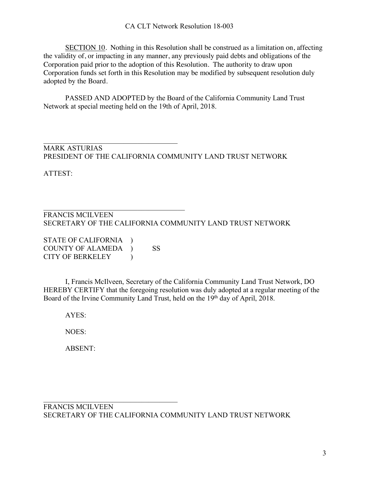SECTION 10. Nothing in this Resolution shall be construed as a limitation on, affecting the validity of, or impacting in any manner, any previously paid debts and obligations of the Corporation paid prior to the adoption of this Resolution. The authority to draw upon Corporation funds set forth in this Resolution may be modified by subsequent resolution duly adopted by the Board.

PASSED AND ADOPTED by the Board of the California Community Land Trust Network at special meeting held on the 19th of April, 2018.

 $\mathcal{L}_\text{max}$  , and the set of the set of the set of the set of the set of the set of the set of the set of the set of the set of the set of the set of the set of the set of the set of the set of the set of the set of the MARK ASTURIAS PRESIDENT OF THE CALIFORNIA COMMUNITY LAND TRUST NETWORK

ATTEST:

#### $\mathcal{L}_\text{max}$ FRANCIS MCILVEEN SECRETARY OF THE CALIFORNIA COMMUNITY LAND TRUST NETWORK

STATE OF CALIFORNIA ) COUNTY OF ALAMEDA ) SS CITY OF BERKELEY (1)

 $\mathcal{L}_\text{max}$ 

I, Francis McIlveen, Secretary of the California Community Land Trust Network, DO HEREBY CERTIFY that the foregoing resolution was duly adopted at a regular meeting of the Board of the Irvine Community Land Trust, held on the 19<sup>th</sup> day of April, 2018.

AYES:

NOES:

ABSENT: